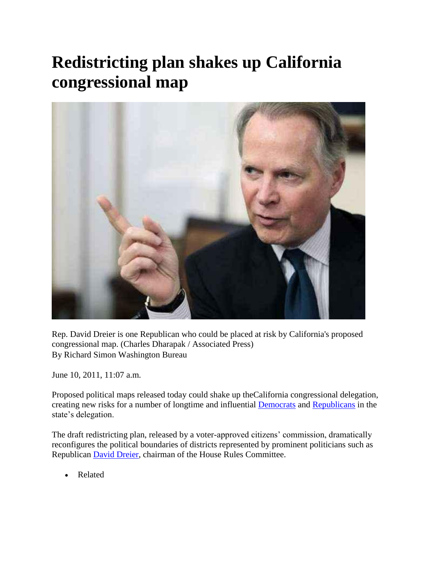## **Redistricting plan shakes up California congressional map**



Rep. David Dreier is one Republican who could be placed at risk by California's proposed congressional map. (Charles Dharapak / Associated Press) By Richard Simon Washington Bureau

June 10, 2011, 11:07 a.m.

Proposed political maps released today could shake up theCalifornia congressional delegation, creating new risks for a number of longtime and influential [Democrats](http://www.latimes.com/topic/politics/parties-movements/democratic-party-ORGOV0000005.topic) and [Republicans](http://www.latimes.com/topic/politics/parties-movements/republican-party-ORGOV0000004.topic) in the state's delegation.

The draft redistricting plan, released by a voter-approved citizens' commission, dramatically reconfigures the political boundaries of districts represented by prominent politicians such as Republican [David Dreier,](http://www.latimes.com/topic/politics/david-dreier-PEPLT001766.topic) chairman of the House Rules Committee.

Related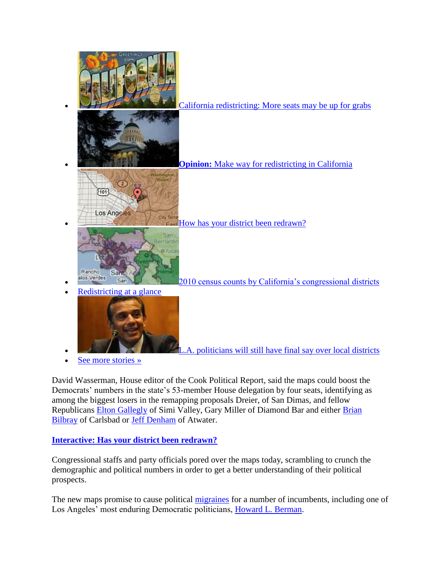

David Wasserman, House editor of the Cook Political Report, said the maps could boost the Democrats' numbers in the state's 53-member House delegation by four seats, identifying as among the biggest losers in the remapping proposals Dreier, of San Dimas, and fellow Republicans [Elton Gallegly](http://www.latimes.com/topic/politics/elton-gallegly-PEPLT002265.topic) of Simi Valley, Gary Miller of Diamond Bar and either [Brian](http://www.latimes.com/topic/politics/government/brian-p.-bilbray-PEPLT007766.topic)  [Bilbray](http://www.latimes.com/topic/politics/government/brian-p.-bilbray-PEPLT007766.topic) of Carlsbad or [Jeff Denham](http://www.latimes.com/topic/politics/government/jeff-denham-PEPLT007813.topic) of Atwater.

## **[Interactive: Has your district been redrawn?](http://www.latimes.com/news/local/la-redistricting-map,0,6145644.htmlstory)**

Congressional staffs and party officials pored over the maps today, scrambling to crunch the demographic and political numbers in order to get a better understanding of their political prospects.

The new maps promise to cause political [migraines](http://www.latimes.com/topic/health/physical-conditions/migraine-HEPHC0000027.topic) for a number of incumbents, including one of Los Angeles' most enduring Democratic politicians, [Howard L. Berman.](http://www.latimes.com/topic/politics/howard-l-berman-PEPLT000427.topic)